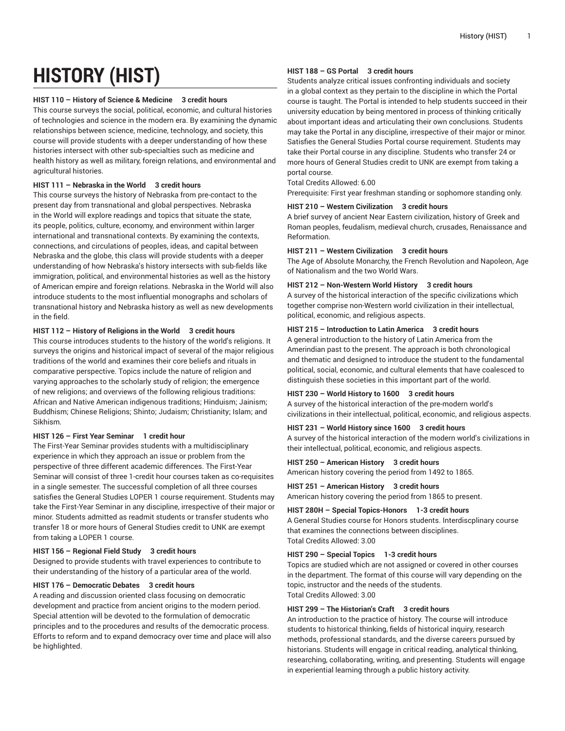# **HISTORY (HIST)**

## **HIST 110 – History of Science & Medicine 3 credit hours**

This course surveys the social, political, economic, and cultural histories of technologies and science in the modern era. By examining the dynamic relationships between science, medicine, technology, and society, this course will provide students with a deeper understanding of how these histories intersect with other sub-specialties such as medicine and health history as well as military, foreign relations, and environmental and agricultural histories.

## **HIST 111 – Nebraska in the World 3 credit hours**

This course surveys the history of Nebraska from pre-contact to the present day from transnational and global perspectives. Nebraska in the World will explore readings and topics that situate the state, its people, politics, culture, economy, and environment within larger international and transnational contexts. By examining the contexts, connections, and circulations of peoples, ideas, and capital between Nebraska and the globe, this class will provide students with a deeper understanding of how Nebraska's history intersects with sub-fields like immigration, political, and environmental histories as well as the history of American empire and foreign relations. Nebraska in the World will also introduce students to the most influential monographs and scholars of transnational history and Nebraska history as well as new developments in the field.

## **HIST 112 – History of Religions in the World 3 credit hours**

This course introduces students to the history of the world's religions. It surveys the origins and historical impact of several of the major religious traditions of the world and examines their core beliefs and rituals in comparative perspective. Topics include the nature of religion and varying approaches to the scholarly study of religion; the emergence of new religions; and overviews of the following religious traditions: African and Native American indigenous traditions; Hinduism; Jainism; Buddhism; Chinese Religions; Shinto; Judaism; Christianity; Islam; and Sikhism.

## **HIST 126 – First Year Seminar 1 credit hour**

The First-Year Seminar provides students with a multidisciplinary experience in which they approach an issue or problem from the perspective of three different academic differences. The First-Year Seminar will consist of three 1-credit hour courses taken as co-requisites in a single semester. The successful completion of all three courses satisfies the General Studies LOPER 1 course requirement. Students may take the First-Year Seminar in any discipline, irrespective of their major or minor. Students admitted as readmit students or transfer students who transfer 18 or more hours of General Studies credit to UNK are exempt from taking a LOPER 1 course.

## **HIST 156 – Regional Field Study 3 credit hours**

Designed to provide students with travel experiences to contribute to their understanding of the history of a particular area of the world.

# **HIST 176 – Democratic Debates 3 credit hours**

A reading and discussion oriented class focusing on democratic development and practice from ancient origins to the modern period. Special attention will be devoted to the formulation of democratic principles and to the procedures and results of the democratic process. Efforts to reform and to expand democracy over time and place will also be highlighted.

## **HIST 188 – GS Portal 3 credit hours**

Students analyze critical issues confronting individuals and society in a global context as they pertain to the discipline in which the Portal course is taught. The Portal is intended to help students succeed in their university education by being mentored in process of thinking critically about important ideas and articulating their own conclusions. Students may take the Portal in any discipline, irrespective of their major or minor. Satisfies the General Studies Portal course requirement. Students may take their Portal course in any discipline. Students who transfer 24 or more hours of General Studies credit to UNK are exempt from taking a portal course.

# Total Credits Allowed: 6.00

Prerequisite: First year freshman standing or sophomore standing only.

## **HIST 210 – Western Civilization 3 credit hours**

A brief survey of ancient Near Eastern civilization, history of Greek and Roman peoples, feudalism, medieval church, crusades, Renaissance and Reformation.

## **HIST 211 – Western Civilization 3 credit hours**

The Age of Absolute Monarchy, the French Revolution and Napoleon, Age of Nationalism and the two World Wars.

### **HIST 212 – Non-Western World History 3 credit hours**

A survey of the historical interaction of the specific civilizations which together comprise non-Western world civilization in their intellectual, political, economic, and religious aspects.

## **HIST 215 – Introduction to Latin America 3 credit hours**

A general introduction to the history of Latin America from the Amerindian past to the present. The approach is both chronological and thematic and designed to introduce the student to the fundamental political, social, economic, and cultural elements that have coalesced to distinguish these societies in this important part of the world.

## **HIST 230 – World History to 1600 3 credit hours**

A survey of the historical interaction of the pre-modern world's civilizations in their intellectual, political, economic, and religious aspects.

## **HIST 231 – World History since 1600 3 credit hours**

A survey of the historical interaction of the modern world's civilizations in their intellectual, political, economic, and religious aspects.

## **HIST 250 – American History 3 credit hours**

American history covering the period from 1492 to 1865.

## **HIST 251 – American History 3 credit hours**

American history covering the period from 1865 to present.

### **HIST 280H – Special Topics-Honors 1-3 credit hours**

A General Studies course for Honors students. Interdiscplinary course that examines the connections between disciplines. Total Credits Allowed: 3.00

## **HIST 290 – Special Topics 1-3 credit hours**

Topics are studied which are not assigned or covered in other courses in the department. The format of this course will vary depending on the topic, instructor and the needs of the students. Total Credits Allowed: 3.00

## **HIST 299 – The Historian's Craft 3 credit hours**

An introduction to the practice of history. The course will introduce students to historical thinking, fields of historical inquiry, research methods, professional standards, and the diverse careers pursued by historians. Students will engage in critical reading, analytical thinking, researching, collaborating, writing, and presenting. Students will engage in experiential learning through a public history activity.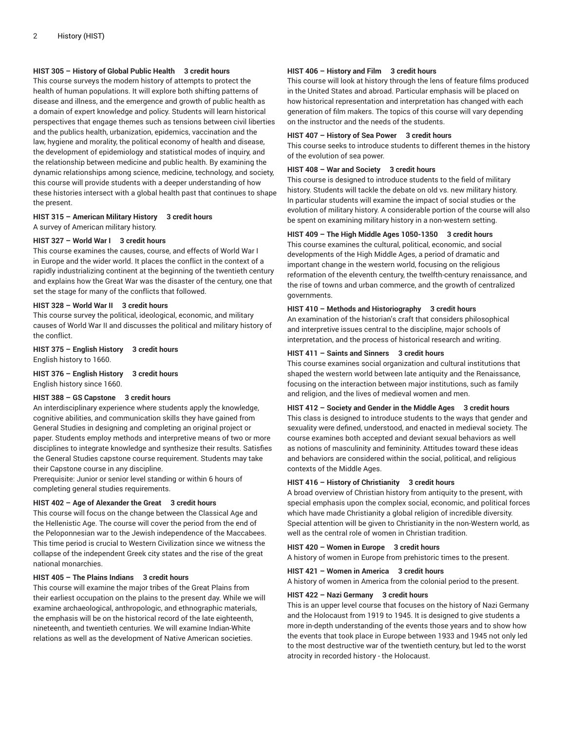## **HIST 305 – History of Global Public Health 3 credit hours**

This course surveys the modern history of attempts to protect the health of human populations. It will explore both shifting patterns of disease and illness, and the emergence and growth of public health as a domain of expert knowledge and policy. Students will learn historical perspectives that engage themes such as tensions between civil liberties and the publics health, urbanization, epidemics, vaccination and the law, hygiene and morality, the political economy of health and disease, the development of epidemiology and statistical modes of inquiry, and the relationship between medicine and public health. By examining the dynamic relationships among science, medicine, technology, and society, this course will provide students with a deeper understanding of how these histories intersect with a global health past that continues to shape the present.

## **HIST 315 – American Military History 3 credit hours** A survey of American military history.

#### **HIST 327 – World War I 3 credit hours**

This course examines the causes, course, and effects of World War I in Europe and the wider world. It places the conflict in the context of a rapidly industrializing continent at the beginning of the twentieth century and explains how the Great War was the disaster of the century, one that set the stage for many of the conflicts that followed.

## **HIST 328 – World War II 3 credit hours**

This course survey the political, ideological, economic, and military causes of World War II and discusses the political and military history of the conflict.

**HIST 375 – English History 3 credit hours**

English history to 1660.

**HIST 376 – English History 3 credit hours** English history since 1660.

## **HIST 388 – GS Capstone 3 credit hours**

An interdisciplinary experience where students apply the knowledge, cognitive abilities, and communication skills they have gained from General Studies in designing and completing an original project or paper. Students employ methods and interpretive means of two or more disciplines to integrate knowledge and synthesize their results. Satisfies the General Studies capstone course requirement. Students may take their Capstone course in any discipline.

Prerequisite: Junior or senior level standing or within 6 hours of completing general studies requirements.

# **HIST 402 – Age of Alexander the Great 3 credit hours**

This course will focus on the change between the Classical Age and the Hellenistic Age. The course will cover the period from the end of the Peloponnesian war to the Jewish independence of the Maccabees. This time period is crucial to Western Civilization since we witness the collapse of the independent Greek city states and the rise of the great national monarchies.

## **HIST 405 – The Plains Indians 3 credit hours**

This course will examine the major tribes of the Great Plains from their earliest occupation on the plains to the present day. While we will examine archaeological, anthropologic, and ethnographic materials, the emphasis will be on the historical record of the late eighteenth, nineteenth, and twentieth centuries. We will examine Indian-White relations as well as the development of Native American societies.

## **HIST 406 – History and Film 3 credit hours**

This course will look at history through the lens of feature films produced in the United States and abroad. Particular emphasis will be placed on how historical representation and interpretation has changed with each generation of film makers. The topics of this course will vary depending on the instructor and the needs of the students.

### **HIST 407 – History of Sea Power 3 credit hours**

This course seeks to introduce students to different themes in the history of the evolution of sea power.

#### **HIST 408 – War and Society 3 credit hours**

This course is designed to introduce students to the field of military history. Students will tackle the debate on old vs. new military history. In particular students will examine the impact of social studies or the evolution of military history. A considerable portion of the course will also be spent on examining military history in a non-western setting.

## **HIST 409 – The High Middle Ages 1050-1350 3 credit hours**

This course examines the cultural, political, economic, and social developments of the High Middle Ages, a period of dramatic and important change in the western world, focusing on the religious reformation of the eleventh century, the twelfth-century renaissance, and the rise of towns and urban commerce, and the growth of centralized governments.

#### **HIST 410 – Methods and Historiography 3 credit hours**

An examination of the historian's craft that considers philosophical and interpretive issues central to the discipline, major schools of interpretation, and the process of historical research and writing.

#### **HIST 411 – Saints and Sinners 3 credit hours**

This course examines social organization and cultural institutions that shaped the western world between late antiquity and the Renaissance, focusing on the interaction between major institutions, such as family and religion, and the lives of medieval women and men.

#### **HIST 412 – Society and Gender in the Middle Ages 3 credit hours**

This class is designed to introduce students to the ways that gender and sexuality were defined, understood, and enacted in medieval society. The course examines both accepted and deviant sexual behaviors as well as notions of masculinity and femininity. Attitudes toward these ideas and behaviors are considered within the social, political, and religious contexts of the Middle Ages.

## **HIST 416 – History of Christianity 3 credit hours**

A broad overview of Christian history from antiquity to the present, with special emphasis upon the complex social, economic, and political forces which have made Christianity a global religion of incredible diversity. Special attention will be given to Christianity in the non-Western world, as well as the central role of women in Christian tradition.

### **HIST 420 – Women in Europe 3 credit hours**

A history of women in Europe from prehistoric times to the present.

#### **HIST 421 – Women in America 3 credit hours**

A history of women in America from the colonial period to the present.

#### **HIST 422 – Nazi Germany 3 credit hours**

This is an upper level course that focuses on the history of Nazi Germany and the Holocaust from 1919 to 1945. It is designed to give students a more in-depth understanding of the events those years and to show how the events that took place in Europe between 1933 and 1945 not only led to the most destructive war of the twentieth century, but led to the worst atrocity in recorded history - the Holocaust.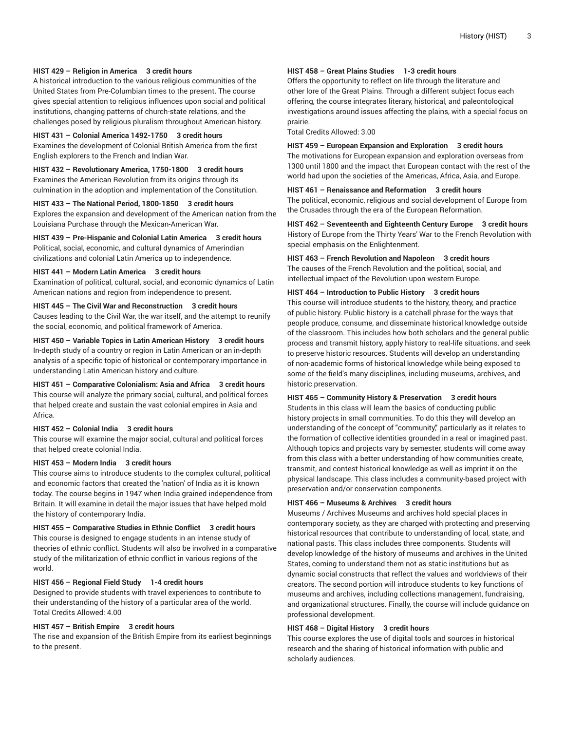## **HIST 429 – Religion in America 3 credit hours**

A historical introduction to the various religious communities of the United States from Pre-Columbian times to the present. The course gives special attention to religious influences upon social and political institutions, changing patterns of church-state relations, and the challenges posed by religious pluralism throughout American history.

#### **HIST 431 – Colonial America 1492-1750 3 credit hours**

Examines the development of Colonial British America from the first English explorers to the French and Indian War.

**HIST 432 – Revolutionary America, 1750-1800 3 credit hours** Examines the American Revolution from its origins through its culmination in the adoption and implementation of the Constitution.

#### **HIST 433 – The National Period, 1800-1850 3 credit hours**

Explores the expansion and development of the American nation from the Louisiana Purchase through the Mexican-American War.

**HIST 439 – Pre-Hispanic and Colonial Latin America 3 credit hours** Political, social, economic, and cultural dynamics of Amerindian civilizations and colonial Latin America up to independence.

#### **HIST 441 – Modern Latin America 3 credit hours**

Examination of political, cultural, social, and economic dynamics of Latin American nations and region from independence to present.

## **HIST 445 – The Civil War and Reconstruction 3 credit hours**

Causes leading to the Civil War, the war itself, and the attempt to reunify the social, economic, and political framework of America.

**HIST 450 – Variable Topics in Latin American History 3 credit hours** In-depth study of a country or region in Latin American or an in-depth analysis of a specific topic of historical or contemporary importance in understanding Latin American history and culture.

**HIST 451 – Comparative Colonialism: Asia and Africa 3 credit hours** This course will analyze the primary social, cultural, and political forces that helped create and sustain the vast colonial empires in Asia and Africa.

#### **HIST 452 – Colonial India 3 credit hours**

This course will examine the major social, cultural and political forces that helped create colonial India.

## **HIST 453 – Modern India 3 credit hours**

This course aims to introduce students to the complex cultural, political and economic factors that created the 'nation' of India as it is known today. The course begins in 1947 when India grained independence from Britain. It will examine in detail the major issues that have helped mold the history of contemporary India.

## **HIST 455 – Comparative Studies in Ethnic Conflict 3 credit hours**

This course is designed to engage students in an intense study of theories of ethnic conflict. Students will also be involved in a comparative study of the militarization of ethnic conflict in various regions of the world.

#### **HIST 456 – Regional Field Study 1-4 credit hours**

Designed to provide students with travel experiences to contribute to their understanding of the history of a particular area of the world. Total Credits Allowed: 4.00

## **HIST 457 – British Empire 3 credit hours**

The rise and expansion of the British Empire from its earliest beginnings to the present.

## **HIST 458 – Great Plains Studies 1-3 credit hours**

Offers the opportunity to reflect on life through the literature and other lore of the Great Plains. Through a different subject focus each offering, the course integrates literary, historical, and paleontological investigations around issues affecting the plains, with a special focus on prairie.

Total Credits Allowed: 3.00

#### **HIST 459 – European Expansion and Exploration 3 credit hours**

The motivations for European expansion and exploration overseas from 1300 until 1800 and the impact that European contact with the rest of the world had upon the societies of the Americas, Africa, Asia, and Europe.

#### **HIST 461 – Renaissance and Reformation 3 credit hours**

The political, economic, religious and social development of Europe from the Crusades through the era of the European Reformation.

**HIST 462 – Seventeenth and Eighteenth Century Europe 3 credit hours** History of Europe from the Thirty Years' War to the French Revolution with special emphasis on the Enlightenment.

#### **HIST 463 – French Revolution and Napoleon 3 credit hours**

The causes of the French Revolution and the political, social, and intellectual impact of the Revolution upon western Europe.

#### **HIST 464 – Introduction to Public History 3 credit hours**

This course will introduce students to the history, theory, and practice of public history. Public history is a catchall phrase for the ways that people produce, consume, and disseminate historical knowledge outside of the classroom. This includes how both scholars and the general public process and transmit history, apply history to real-life situations, and seek to preserve historic resources. Students will develop an understanding of non-academic forms of historical knowledge while being exposed to some of the field's many disciplines, including museums, archives, and historic preservation.

## **HIST 465 – Community History & Preservation 3 credit hours**

Students in this class will learn the basics of conducting public history projects in small communities. To do this they will develop an understanding of the concept of "community," particularly as it relates to the formation of collective identities grounded in a real or imagined past. Although topics and projects vary by semester, students will come away from this class with a better understanding of how communities create, transmit, and contest historical knowledge as well as imprint it on the physical landscape. This class includes a community-based project with preservation and/or conservation components.

# **HIST 466 – Museums & Archives 3 credit hours**

Museums / Archives Museums and archives hold special places in contemporary society, as they are charged with protecting and preserving historical resources that contribute to understanding of local, state, and national pasts. This class includes three components. Students will develop knowledge of the history of museums and archives in the United States, coming to understand them not as static institutions but as dynamic social constructs that reflect the values and worldviews of their creators. The second portion will introduce students to key functions of museums and archives, including collections management, fundraising, and organizational structures. Finally, the course will include guidance on professional development.

## **HIST 468 – Digital History 3 credit hours**

This course explores the use of digital tools and sources in historical research and the sharing of historical information with public and scholarly audiences.